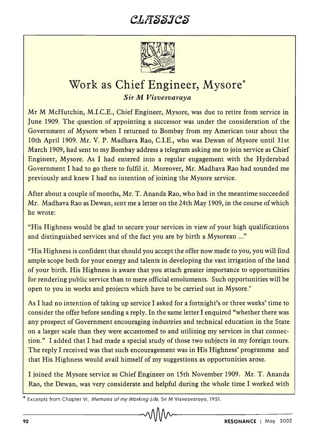

#### Work as Chief Engineer, Mysore\* *Sir* M *Visvesvaraya*

Mr M McHutchin, M.I.C.E., Chief Engineer, Mysore, was due to retire from service in June 1909. The question of appointing a successor was under the consideration of the Government of Mysore when I returned to Bombay from my American tour about the 10th April 1909. Mr. V. P. Madhava Rao, C.LE., who was Dewan of Mysore until 31st March 1909, had sent to my Bombay address a telegram asking me to join service as Chief Engineer, Mysore. As I had entered into a regular engagement with the Hyderabad Government I had to go there to fulfil it. Moreover, Mr. Madhava Rao had sounded me previously and knew I had no intention of joining the Mysore service.

After about a couple of months, Mr. T. Ananda Rao, who had in the meantime succeeded Mr. Madhava Rao as Dewan, sent me a letter on the 24th May 1909, in the course of which he wrote:

"His Highness would be glad to secure your services in view of your high qualifications and distinguished services and of the fact you are by birth a Mysorean ... "

"His Highness is confident that should you accept the offer now made to you, you will find ample scope both for your energy and talents in developing the vast irrigation of the land of your birth. His Highness is aware that you attach greater importance to opportunities for rendering public service than to mere official emoluments. Such opportunities will be open to you in works and projects which have to be carried out in Mysore."

As I had no intention of taking up service I asked for a fortnight's or three weeks' time to consider the offer before sending a reply. In the same letter I enquired "whether there was any prospect of Government encouraging industries and technical education in the State on a larger scale than they were accustomed to and utilizing my services in that connection." I added that I had made a special study of those two subjects in my foreign tours. The reply I received was that such encouragement was in His Highness' programme and that His Highness would avail himself of my suggestions as opportunities arose.

I joined the Mysore service as Chief Engineer on 15th November 1909. Mr. T. Ananda Rao, the Dewan, was very considerate and helpful during the whole time I worked with

Excerpts from Chapter VI, Memoirs of my Working Life, Sir M Visvesvaraya, 1951.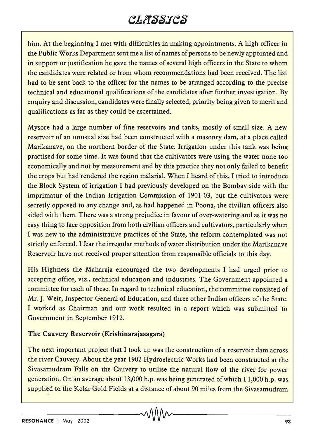him. At the beginning I met with difficulties in making appointments. A high officer in the Public Works Department sent me a list of names of persons to be newly appointed and in support or justification he gave the names of several high officers in the State to whom the candidates were related or from whom recommendations had been received. The list had to be sent back to the officer for the names to be arranged according to the precise technical and educational qualifications of the candidates after further investigation. By enquiry and discussion, candidates were finally selected, priority being given to merit and qualifications as far as they could be ascertained.

Mysore had a large number of fine reservoirs and tanks, mostly of small size. A new reservoir of an unusual size had been constructed with a masonry dam, at a place called Marikanave, on the northern border of the State. Irrigation under this tank was being practised for some time. It was found that the cultivators were using the water none too economically and not by measurement and by this practice they not only failed to benefit the crops but had rendered the region malarial. When I heard of this, I tried to introduce the Block System of irrigation I had previously developed on the Bombay side with the imprimatur of the Indian Irrigation Commission of 1901-03, but the cultivators were secretly opposed to any change and, as had happened in Poona, the civilian officers also sided with them. There was a strong prejudice in favour of over-watering and as it was no easy thing to face opposition from both civilian officers and cultivators, particularly when I was new to the administrative practices of the State, the reform contemplated was not strictly enforced. I fear the irregular methods of water distribution under the Marikanave Reservoir have not received proper attention from responsible officials to this day.

His Highness the Maharaja encouraged the two developments I had urged prior to accepting office, viz., technical education and industries. The Government appointed a committee for each of these. In regard to technical education, the committee consisted of Mr. J. Weir, Inspector-General of Education, and three other Indian officers of the State. I worked as Chairman and our work resulted in a report which was submitted to Government in September 1912.

#### The Cauvery Reservoir (Krishinarajasagara)

The next important project that I took up was the construction of a reservoir dam across the river Cauvery. About the year 1902 Hydroelectric Works had been constructed at the Sivasamudram Falls on the Cauvery to utilise the natural flow of the river for power generation. On an average about 13,000 h.p. was being generated of which I 1,000 h.p. was supplied to the Kolar Gold Fields at a distance of about 90 miles from the Sivasamudram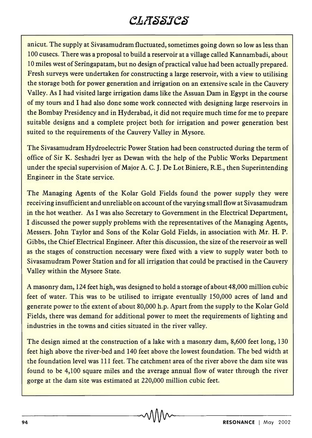anicut. The supply at Sivasamudram fluctuated, sometimes going down so low as less than 100 cusecs. There was a proposal to build a reservoir at a village called Kannambadi, about 10 miles west of Seringapatam, but no design of practical value had been actually prepared. Fresh surveys were undertaken for constructing a large reservoir, with a view to utilising the storage both for power generation and irrigation on an extensive scale in the Cauvery Valley. As I had visited large irrigation dams like the Assuan Dam in Egypt in the course of my tours and I had also done some work connected with designing large reservoirs in the Bombay Presidency and in Hyderabad, it did not require much time for me to prepare suitable designs and a complete project both for irrigation and power generation best suited to the requirements of the Cauvery Valley in Mysore.

The Sivasamudram Hydroelectric Power Station had been constructed during the term of office of Sir K. Seshadri lyer as Dewan with the help of the Public Works Department under the special supervision of Major A. C. J. De Lot Biniere, R.E., then Superintending Engineer in the State service.

The Managing Agents of the Kolar Gold Fields found the power supply they were receiving insufficient and unreliable on account of the varying small flow at Sivasamudram in the hot weather. As I was also Secretary to Government in the Electrical Department, I discussed the power supply problems with the representatives of the Managing Agents, Messers. John Taylor and Sons of the Kolar Gold Fields, in association with Mr. H. P. Gibbs, the Chief Electrical Engineer. After this discussion, the size of the reservoir as well as the stages of construction necessary were fixed with a view to supply water both to Sivasamudram Power Station and for all irrigation that could be practised in the Cauvery Valley within the Mysore State.

A masonry dam, 124 feet high, was designed to hold a storage of about 48,000 million cubic feet of water. This was to be utilised to irrigate eventually 150,000 acres of land and generate power to the extent of about 80,000 h.p. Apart from the supply to the Kolar Gold Fields, there was demand for additional power to meet the requirements of lighting and industries in the towns and cities situated in the river valley.

The design aimed at the construction of a lake with a masonry dam, 8,600 feet long, 130 feet high above the river-bed and 140 feet above the lowest foundation. The bed width at the foundation level was III feet. The catchment area of the river above the dam site was found to be 4,100 square miles and the average annual flow of water through the river gorge at the dam site was estimated at 220,000 million cubic feet.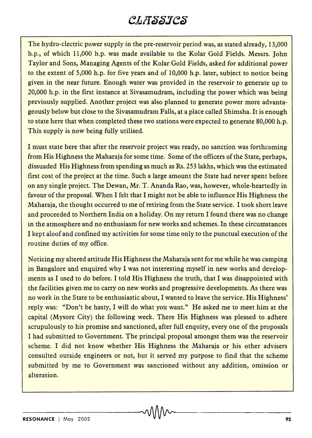The hydro-clectric power supply in the pre-reservoir period was, as stated already, 13,000 h.p., of which 11,000 h.p. was made available to the Kolar Gold Fields. Messrs. John Taylor and Sons, Managing Agents of the Kolar Gold Fields, asked for additional power to the extent of 5,000 h.p. for five years and of 10,000 h.p. later, subject to notice being given in the near future. Enough water was provided in the reservoir to generate up to 20,000 h.p. in the first instance at Sivasamudram, including the power which was being previously supplied. Another project was also planned to generate power more advantageously below but close to the Sivasamudram Falls, at a place called Shimsha. It is enough to state here that when completed these two stations were expected to generate 80,000 h.p. This supply is now being fully utilised.

I must state here that after the reservoir project was ready, no sanction was forthcoming from His Highness the Maharaja for some time. Some of the officers of the State, perhaps, dissuaded His Highness from spending as much as Rs. 253lakhs, which was the estimated first cost of the project at the time. Such a large amount the State had never spent before on any single project. The Dewan, Mr. T. Ananda Rao, was, however, whole-heartedly in favour of the proposal. When I felt that I might not be able to influence His Highness the Maharaja, the thought occurred to me of retiring from the State service. I took short leave and proceeded to Northern India on a holiday. On my return I found there was no change in the atmosphere and no enthusiasm for new works and schemes. In these circumstances I kept aloof and confined my activities for some time only to the punctual execution of the routine duties of my office.

Noticing my altered attitude His Highness the Maharaja sent for me while he was camping in Bangalore and enquired why I was not interesting myself in new works and developments as I used to do before. I told His Highness the truth, that I was disappointed with the facilities given me to carryon new works and progressive developments. As there was no work in the State to be enthusiastic about, I wanted to leave the service. His Highness' reply was: "Don't be hasty, I will do what you want." He asked me to meet him at the capital (Mysore City) the following week. There His Highness was pleased to adhere scrupulously to his promise and sanctioned, after full enquiry, every one of the proposals I had submitted to Government. The principal proposal amongst them was the reservoir scheme. I did not know whether His Highness the Maharaja or his other advisers consulted outside engineers or not, but it served my purpose to find that the scheme submitted by me to Government was sanctioned without any addition, omission or alteration.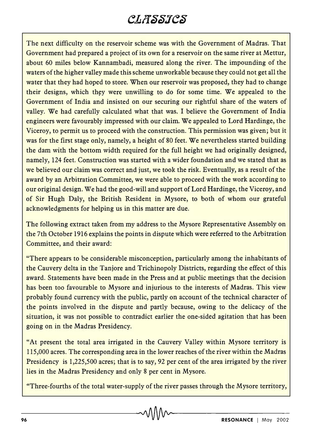The next difficulty on the reservoir scheme was with the Government of Madras. That Government had prepared a project of its own for a reservoir on the same river at Mettur, about 60 miles below Kannambadi, measured along the river. The impounding of the waters of the higher valley made this scheme unworkable because they could not get all the water that they had hoped to store. When our reservoir was proposed, they had to change their designs, which they were unwilling to do for some time. We appealed to the Government of India and insisted on our securing our rightful share of the waters of valley. We had carefully calculated what that was. I believe the Government of India engineers were favourably impressed with our claim. We appealed to Lord Hardinge, the Viceroy, to permit us to proceed with the construction. This permission was given; but it was for the first stage only, namely, a height of 80 feet. We nevertheless started building the dam with the bottom width required for the full height we had originally designed, namely, 124 feet. Construction was started with a wider foundation and we stated that as we believed our claim was correct and just, we took the risk. Eventually, as a result of the award by an Arbitration Committee, we were able to proceed with the work according to our original design. We had the good-will and support of Lord Hardinge, the Viceroy, and of Sir Hugh Daly, the British Resident in Mysore, to both of whom our grateful acknowledgments for helping us in this matter are due.

The following extract taken from my address to the Mysore Representative Assembly on the 7th October 1916 explains the points in dispute which were referred to the Arbitration Committee, and their award:

"There appears to be considerable misconception, particularly among the inhabitants of the Cauvery delta in the Tanjore and Trichinopoly Districts, regarding the effect of this award. Statements have been made in the Press and at public meetings that the decision has been too favourable to Mysore and injurious to the interests of Madras. This view probably found currency with the public, partly on account of the technical character of the points involved in the dispute and partly because, owing to the delicacy of the situation, it was not possible to contradict earlier the one-sided agitation that has been going on in the Madras Presidency.

"At present the total area irrigated in the Cauvery Valley within Mysore territory is 115,000 acres. The corresponding area in the lower reaches of the river within the Madras Presidency is 1,225,500 acres; that is to say, 92 per cent of the area irrigated by the river lies in the Madras Presidency and only 8 per cent in Mysore.

"Three-fourths of the total water-supply of the river passes through the Mysore territory,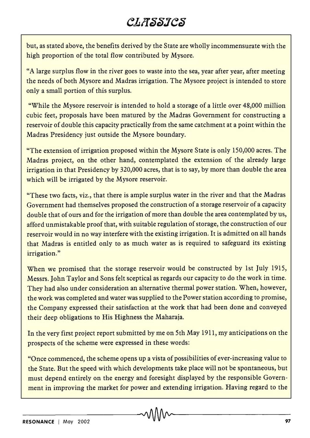but, as stated above, the benefits derived by the State are wholly incommensurate with the high proportion of the total flow contributed by Mysore.

"A large surplus flow in the river goes to waste into the sea, year after year, after meeting the needs of both Mysore and Madras irrigation. The Mysore project is intended to store only a small portion of this surplus.

"While the Mysore reservoir is intended to hold a storage of a little over 48,000 million cubic feet, proposals have been matured by the Madras Government for constructing a reservoir of double this capacity practically from the same catchment at a point within the Madras Presidency just outside the Mysore boundary.

"The extension of irrigation proposed within the Mysore State is only 150,000 acres. The Madras project, on the other hand, contemplated the extension of the already large irrigation in that Presidency by 320,000 acres, that is to say, by more than double the area which will be irrigated by the Mysore reservoir.

"These two facts, viz., that there is ample surplus water in the river and that the Madras Government had themselves proposed the construction of a storage reservoir of a capacity double that of ours and for the irrigation of more than double the area contemplated by us, afford unmistakable proof that, with suitable regulation of storage, the construction of our reservoir would in no way interfere with the existing irrigation. It is admitted on all hands that Madras is entitled only to as much water as is required to safeguard its existing irrigation."

When we promised that the storage reservoir would be constructed by 1st July 1915, Messrs. John Taylor and Sons felt sceptical as regards our capacity to do the work in time. They had also under consideration an alternative thermal power station. When, however, the work was completed and water was supplied to the Power station according to promise, the Company expressed their satisfaction at the work that had been done and conveyed their deep obligations to His Highness the Maharaja.

In the very first project report submitted by me on 5th May 1911, my anticipations on the prospects of the scheme were expressed in these words:

"Once commenced, the scheme opens up a vista of possibilities of ever-increasing value to the State. But the speed with which developments take place will not be spontaneous, but must depend entirely on the energy and foresight displayed by the responsible Government in improving the market for power and extending irrigation. Having regard to the